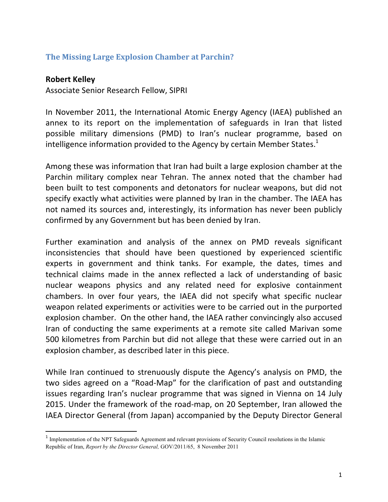## **The Missing Large Explosion Chamber at Parchin?**

## **Robert Kelley**

<u> 1989 - Johann Stein, fransk politik (d. 1989)</u>

Associate Senior Research Fellow, SIPRI

In November 2011, the International Atomic Energy Agency (IAEA) published an annex to its report on the implementation of safeguards in Iran that listed possible military dimensions (PMD) to Iran's nuclear programme, based on intelligence information provided to the Agency by certain Member States.<sup>1</sup>

Among these was information that Iran had built a large explosion chamber at the Parchin military complex near Tehran. The annex noted that the chamber had been built to test components and detonators for nuclear weapons, but did not specify exactly what activities were planned by Iran in the chamber. The IAEA has not named its sources and, interestingly, its information has never been publicly confirmed by any Government but has been denied by Iran.

Further examination and analysis of the annex on PMD reveals significant inconsistencies that should have been questioned by experienced scientific experts in government and think tanks. For example, the dates, times and technical claims made in the annex reflected a lack of understanding of basic nuclear weapons physics and any related need for explosive containment chambers. In over four years, the IAEA did not specify what specific nuclear weapon related experiments or activities were to be carried out in the purported explosion chamber. On the other hand, the IAEA rather convincingly also accused Iran of conducting the same experiments at a remote site called Marivan some 500 kilometres from Parchin but did not allege that these were carried out in an explosion chamber, as described later in this piece.

While Iran continued to strenuously dispute the Agency's analysis on PMD, the two sides agreed on a "Road-Map" for the clarification of past and outstanding issues regarding Iran's nuclear programme that was signed in Vienna on 14 July 2015. Under the framework of the road-map, on 20 September, Iran allowed the IAEA Director General (from Japan) accompanied by the Deputy Director General

<sup>&</sup>lt;sup>1</sup> Implementation of the NPT Safeguards Agreement and relevant provisions of Security Council resolutions in the Islamic Republic of Iran, *Report by the Director General,* GOV/2011/65, 8 November 2011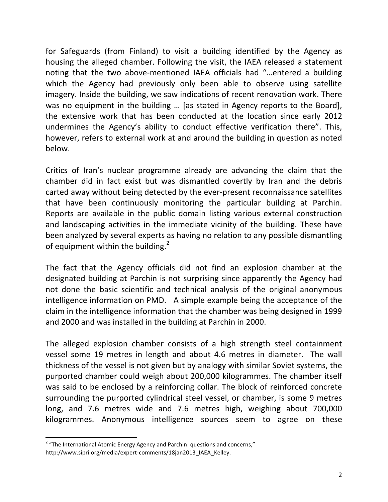for Safeguards (from Finland) to visit a building identified by the Agency as housing the alleged chamber. Following the visit, the IAEA released a statement noting that the two above-mentioned IAEA officials had "...entered a building which the Agency had previously only been able to observe using satellite imagery. Inside the building, we saw indications of recent renovation work. There was no equipment in the building ... [as stated in Agency reports to the Board], the extensive work that has been conducted at the location since early 2012 undermines the Agency's ability to conduct effective verification there". This, however, refers to external work at and around the building in question as noted below.

Critics of Iran's nuclear programme already are advancing the claim that the chamber did in fact exist but was dismantled covertly by Iran and the debris carted away without being detected by the ever-present reconnaissance satellites that have been continuously monitoring the particular building at Parchin. Reports are available in the public domain listing various external construction and landscaping activities in the immediate vicinity of the building. These have been analyzed by several experts as having no relation to any possible dismantling of equipment within the building.<sup>2</sup>

The fact that the Agency officials did not find an explosion chamber at the designated building at Parchin is not surprising since apparently the Agency had not done the basic scientific and technical analysis of the original anonymous intelligence information on PMD. A simple example being the acceptance of the claim in the intelligence information that the chamber was being designed in 1999 and 2000 and was installed in the building at Parchin in 2000.

The alleged explosion chamber consists of a high strength steel containment vessel some 19 metres in length and about 4.6 metres in diameter. The wall thickness of the vessel is not given but by analogy with similar Soviet systems, the purported chamber could weigh about 200,000 kilogrammes. The chamber itself was said to be enclosed by a reinforcing collar. The block of reinforced concrete surrounding the purported cylindrical steel vessel, or chamber, is some 9 metres long, and 7.6 metres wide and 7.6 metres high, weighing about 700,000 kilogrammes. Anonymous intelligence sources seem to agree on these

<u> 1989 - Johann Stein, fransk politik (d. 1989)</u>

 $2$  "The International Atomic Energy Agency and Parchin: questions and concerns," http://www.sipri.org/media/expert-comments/18jan2013\_IAEA\_Kelley.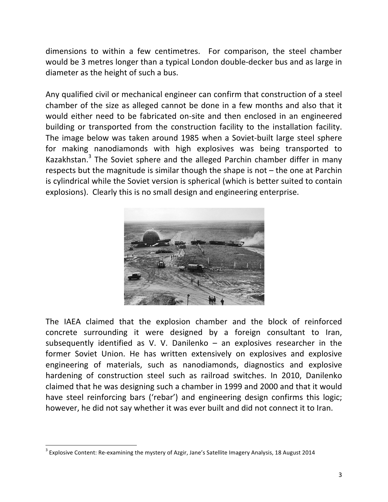dimensions to within a few centimetres. For comparison, the steel chamber would be 3 metres longer than a typical London double-decker bus and as large in diameter as the height of such a bus.

Any qualified civil or mechanical engineer can confirm that construction of a steel chamber of the size as alleged cannot be done in a few months and also that it would either need to be fabricated on-site and then enclosed in an engineered building or transported from the construction facility to the installation facility. The image below was taken around 1985 when a Soviet-built large steel sphere for making nanodiamonds with high explosives was being transported to Kazakhstan. $3$  The Soviet sphere and the alleged Parchin chamber differ in many respects but the magnitude is similar though the shape is not  $-$  the one at Parchin is cylindrical while the Soviet version is spherical (which is better suited to contain explosions). Clearly this is no small design and engineering enterprise.



The IAEA claimed that the explosion chamber and the block of reinforced concrete surrounding it were designed by a foreign consultant to Iran, subsequently identified as V. V. Danilenko – an explosives researcher in the former Soviet Union. He has written extensively on explosives and explosive engineering of materials, such as nanodiamonds, diagnostics and explosive hardening of construction steel such as railroad switches. In 2010, Danilenko claimed that he was designing such a chamber in 1999 and 2000 and that it would have steel reinforcing bars ('rebar') and engineering design confirms this logic; however, he did not say whether it was ever built and did not connect it to Iran.

<u> 1989 - Johann Stein, fransk politik (d. 1989)</u>

 $3$  Explosive Content: Re-examining the mystery of Azgir, Jane's Satellite Imagery Analysis, 18 August 2014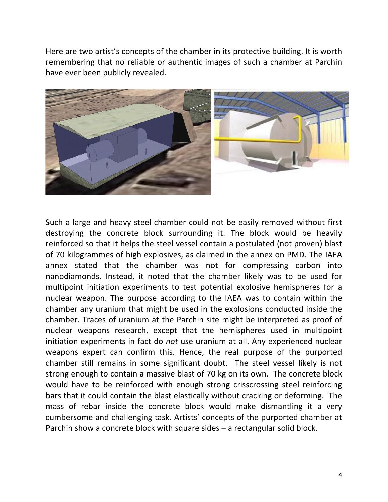Here are two artist's concepts of the chamber in its protective building. It is worth remembering that no reliable or authentic images of such a chamber at Parchin have ever been publicly revealed.



Such a large and heavy steel chamber could not be easily removed without first destroying the concrete block surrounding it. The block would be heavily reinforced so that it helps the steel vessel contain a postulated (not proven) blast of 70 kilogrammes of high explosives, as claimed in the annex on PMD. The IAEA annex stated that the chamber was not for compressing carbon into nanodiamonds. Instead, it noted that the chamber likely was to be used for multipoint initiation experiments to test potential explosive hemispheres for a nuclear weapon. The purpose according to the IAEA was to contain within the chamber any uranium that might be used in the explosions conducted inside the chamber. Traces of uranium at the Parchin site might be interpreted as proof of nuclear weapons research, except that the hemispheres used in multipoint initiation experiments in fact do *not* use uranium at all. Any experienced nuclear weapons expert can confirm this. Hence, the real purpose of the purported chamber still remains in some significant doubt. The steel vessel likely is not strong enough to contain a massive blast of 70 kg on its own. The concrete block would have to be reinforced with enough strong crisscrossing steel reinforcing bars that it could contain the blast elastically without cracking or deforming. The mass of rebar inside the concrete block would make dismantling it a very cumbersome and challenging task. Artists' concepts of the purported chamber at Parchin show a concrete block with square sides  $-$  a rectangular solid block.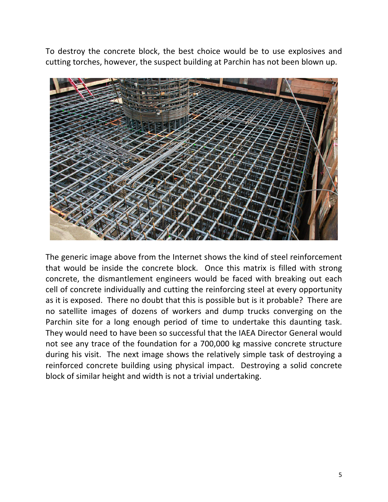To destroy the concrete block, the best choice would be to use explosives and cutting torches, however, the suspect building at Parchin has not been blown up.



The generic image above from the Internet shows the kind of steel reinforcement that would be inside the concrete block. Once this matrix is filled with strong concrete, the dismantlement engineers would be faced with breaking out each cell of concrete individually and cutting the reinforcing steel at every opportunity as it is exposed. There no doubt that this is possible but is it probable? There are no satellite images of dozens of workers and dump trucks converging on the Parchin site for a long enough period of time to undertake this daunting task. They would need to have been so successful that the IAEA Director General would not see any trace of the foundation for a 700,000 kg massive concrete structure during his visit. The next image shows the relatively simple task of destroying a reinforced concrete building using physical impact. Destroying a solid concrete block of similar height and width is not a trivial undertaking.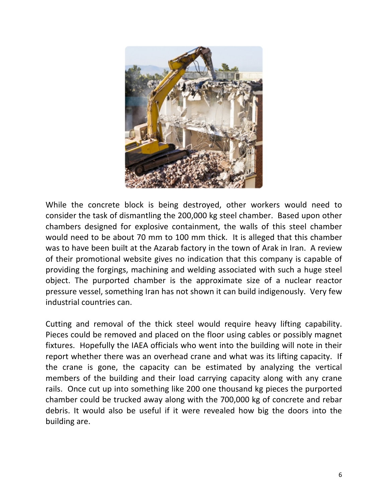

While the concrete block is being destroyed, other workers would need to consider the task of dismantling the 200,000 kg steel chamber. Based upon other chambers designed for explosive containment, the walls of this steel chamber would need to be about 70 mm to 100 mm thick. It is alleged that this chamber was to have been built at the Azarab factory in the town of Arak in Iran. A review of their promotional website gives no indication that this company is capable of providing the forgings, machining and welding associated with such a huge steel object. The purported chamber is the approximate size of a nuclear reactor pressure vessel, something Iran has not shown it can build indigenously. Very few industrial countries can.

Cutting and removal of the thick steel would require heavy lifting capability. Pieces could be removed and placed on the floor using cables or possibly magnet fixtures. Hopefully the IAEA officials who went into the building will note in their report whether there was an overhead crane and what was its lifting capacity. If the crane is gone, the capacity can be estimated by analyzing the vertical members of the building and their load carrying capacity along with any crane rails. Once cut up into something like 200 one thousand kg pieces the purported chamber could be trucked away along with the 700,000 kg of concrete and rebar debris. It would also be useful if it were revealed how big the doors into the building are.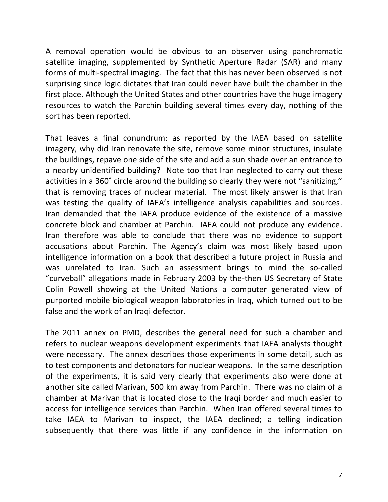A removal operation would be obvious to an observer using panchromatic satellite imaging, supplemented by Synthetic Aperture Radar (SAR) and many forms of multi-spectral imaging. The fact that this has never been observed is not surprising since logic dictates that Iran could never have built the chamber in the first place. Although the United States and other countries have the huge imagery resources to watch the Parchin building several times every day, nothing of the sort has been reported.

That leaves a final conundrum: as reported by the IAEA based on satellite imagery, why did Iran renovate the site, remove some minor structures, insulate the buildings, repave one side of the site and add a sun shade over an entrance to a nearby unidentified building? Note too that Iran neglected to carry out these activities in a 360° circle around the building so clearly they were not "sanitizing," that is removing traces of nuclear material. The most likely answer is that Iran was testing the quality of IAEA's intelligence analysis capabilities and sources. Iran demanded that the IAEA produce evidence of the existence of a massive concrete block and chamber at Parchin. IAEA could not produce any evidence. Iran therefore was able to conclude that there was no evidence to support accusations about Parchin. The Agency's claim was most likely based upon intelligence information on a book that described a future project in Russia and was unrelated to Iran. Such an assessment brings to mind the so-called "curveball" allegations made in February 2003 by the-then US Secretary of State Colin Powell showing at the United Nations a computer generated view of purported mobile biological weapon laboratories in Iraq, which turned out to be false and the work of an Iraqi defector.

The 2011 annex on PMD, describes the general need for such a chamber and refers to nuclear weapons development experiments that IAEA analysts thought were necessary. The annex describes those experiments in some detail, such as to test components and detonators for nuclear weapons. In the same description of the experiments, it is said very clearly that experiments also were done at another site called Marivan, 500 km away from Parchin. There was no claim of a chamber at Marivan that is located close to the Iraqi border and much easier to access for intelligence services than Parchin. When Iran offered several times to take IAEA to Marivan to inspect, the IAEA declined; a telling indication subsequently that there was little if any confidence in the information on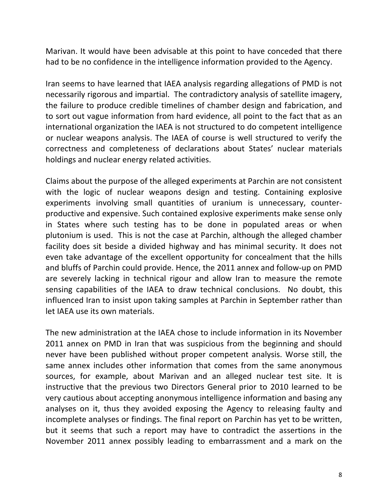Marivan. It would have been advisable at this point to have conceded that there had to be no confidence in the intelligence information provided to the Agency.

Iran seems to have learned that IAEA analysis regarding allegations of PMD is not necessarily rigorous and impartial. The contradictory analysis of satellite imagery, the failure to produce credible timelines of chamber design and fabrication, and to sort out vague information from hard evidence, all point to the fact that as an international organization the IAEA is not structured to do competent intelligence or nuclear weapons analysis. The IAEA of course is well structured to verify the correctness and completeness of declarations about States' nuclear materials holdings and nuclear energy related activities.

Claims about the purpose of the alleged experiments at Parchin are not consistent with the logic of nuclear weapons design and testing. Containing explosive experiments involving small quantities of uranium is unnecessary, counterproductive and expensive. Such contained explosive experiments make sense only in States where such testing has to be done in populated areas or when plutonium is used. This is not the case at Parchin, although the alleged chamber facility does sit beside a divided highway and has minimal security. It does not even take advantage of the excellent opportunity for concealment that the hills and bluffs of Parchin could provide. Hence, the 2011 annex and follow-up on PMD are severely lacking in technical rigour and allow Iran to measure the remote sensing capabilities of the IAEA to draw technical conclusions. No doubt, this influenced Iran to insist upon taking samples at Parchin in September rather than let IAEA use its own materials.

The new administration at the IAEA chose to include information in its November 2011 annex on PMD in Iran that was suspicious from the beginning and should never have been published without proper competent analysis. Worse still, the same annex includes other information that comes from the same anonymous sources, for example, about Marivan and an alleged nuclear test site. It is instructive that the previous two Directors General prior to 2010 learned to be very cautious about accepting anonymous intelligence information and basing any analyses on it, thus they avoided exposing the Agency to releasing faulty and incomplete analyses or findings. The final report on Parchin has yet to be written, but it seems that such a report may have to contradict the assertions in the November 2011 annex possibly leading to embarrassment and a mark on the